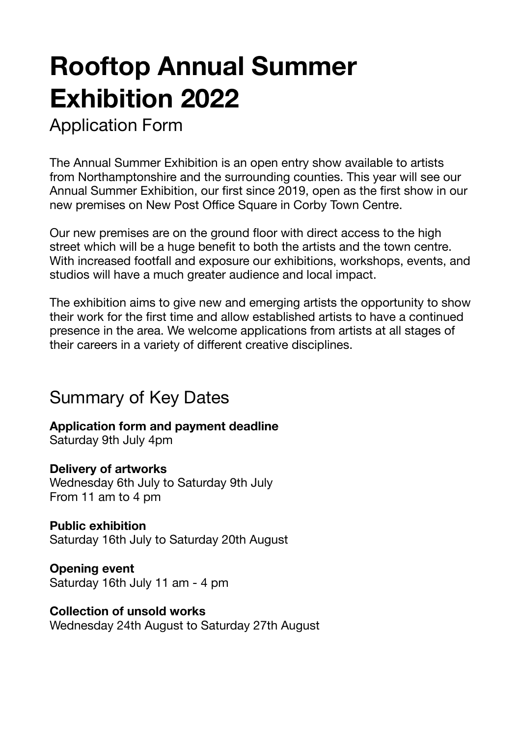# **Rooftop Annual Summer Exhibition 2022**

Application Form

The Annual Summer Exhibition is an open entry show available to artists from Northamptonshire and the surrounding counties. This year will see our Annual Summer Exhibition, our first since 2019, open as the first show in our new premises on New Post Office Square in Corby Town Centre.

Our new premises are on the ground floor with direct access to the high street which will be a huge benefit to both the artists and the town centre. With increased footfall and exposure our exhibitions, workshops, events, and studios will have a much greater audience and local impact.

The exhibition aims to give new and emerging artists the opportunity to show their work for the first time and allow established artists to have a continued presence in the area. We welcome applications from artists at all stages of their careers in a variety of different creative disciplines.

### Summary of Key Dates

**Application form and payment deadline** 

Saturday 9th July 4pm

#### **Delivery of artworks**

Wednesday 6th July to Saturday 9th July From 11 am to 4 pm

#### **Public exhibition**

Saturday 16th July to Saturday 20th August

**Opening event**  Saturday 16th July 11 am - 4 pm

#### **Collection of unsold works**

Wednesday 24th August to Saturday 27th August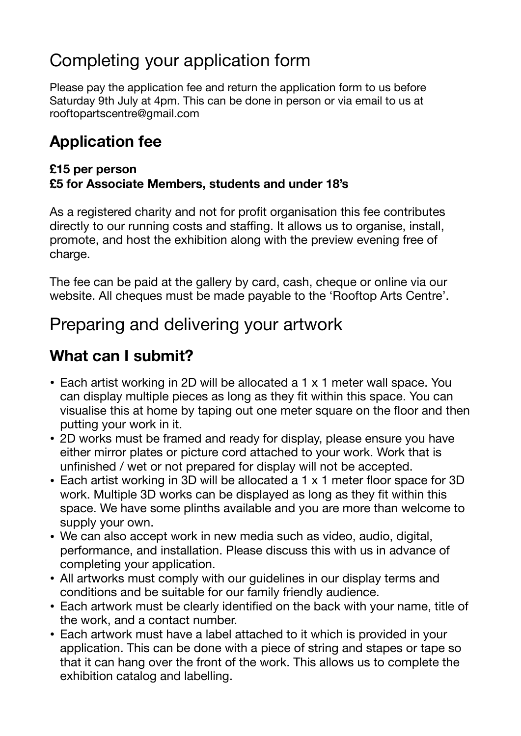# Completing your application form

Please pay the application fee and return the application form to us before Saturday 9th July at 4pm. This can be done in person or via email to us at rooftopartscentre@gmail.com

### **Application fee**

#### **£15 per person £5 for Associate Members, students and under 18's**

As a registered charity and not for profit organisation this fee contributes directly to our running costs and staffing. It allows us to organise, install, promote, and host the exhibition along with the preview evening free of charge.

The fee can be paid at the gallery by card, cash, cheque or online via our website. All cheques must be made payable to the 'Rooftop Arts Centre'.

# Preparing and delivering your artwork

### **What can I submit?**

- Each artist working in 2D will be allocated a 1 x 1 meter wall space. You can display multiple pieces as long as they fit within this space. You can visualise this at home by taping out one meter square on the floor and then putting your work in it.
- 2D works must be framed and ready for display, please ensure you have either mirror plates or picture cord attached to your work. Work that is unfinished / wet or not prepared for display will not be accepted.
- Each artist working in 3D will be allocated a 1 x 1 meter floor space for 3D work. Multiple 3D works can be displayed as long as they fit within this space. We have some plinths available and you are more than welcome to supply your own.
- We can also accept work in new media such as video, audio, digital, performance, and installation. Please discuss this with us in advance of completing your application.
- All artworks must comply with our guidelines in our display terms and conditions and be suitable for our family friendly audience.
- Each artwork must be clearly identified on the back with your name, title of the work, and a contact number.
- Each artwork must have a label attached to it which is provided in your application. This can be done with a piece of string and stapes or tape so that it can hang over the front of the work. This allows us to complete the exhibition catalog and labelling.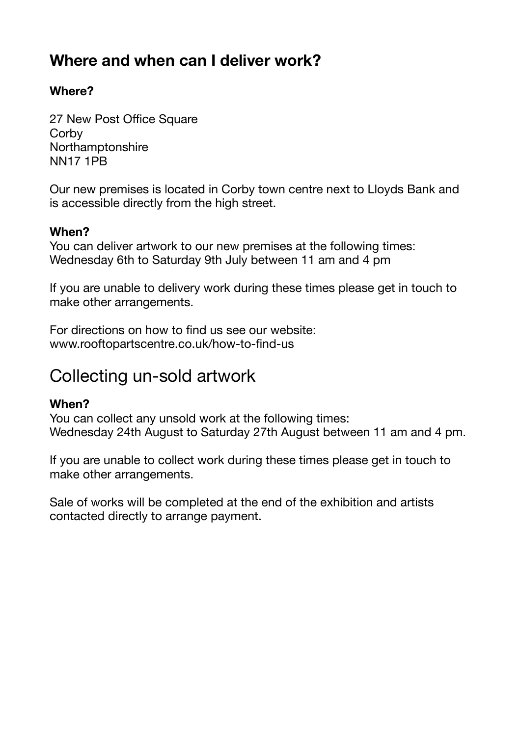### **Where and when can I deliver work?**

#### **Where?**

27 New Post Office Square **Corby** Northamptonshire NN17 1PB

Our new premises is located in Corby town centre next to Lloyds Bank and is accessible directly from the high street.

#### **When?**

You can deliver artwork to our new premises at the following times: Wednesday 6th to Saturday 9th July between 11 am and 4 pm

If you are unable to delivery work during these times please get in touch to make other arrangements.

For directions on how to find us see our website: www.rooftopartscentre.co.uk/how-to-find-us

### Collecting un-sold artwork

#### **When?**

You can collect any unsold work at the following times: Wednesday 24th August to Saturday 27th August between 11 am and 4 pm.

If you are unable to collect work during these times please get in touch to make other arrangements.

Sale of works will be completed at the end of the exhibition and artists contacted directly to arrange payment.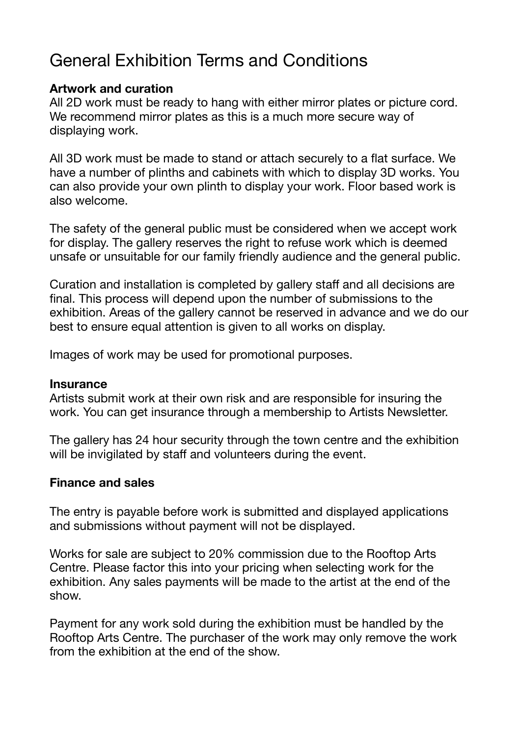# General Exhibition Terms and Conditions

#### **Artwork and curation**

All 2D work must be ready to hang with either mirror plates or picture cord. We recommend mirror plates as this is a much more secure way of displaying work.

All 3D work must be made to stand or attach securely to a flat surface. We have a number of plinths and cabinets with which to display 3D works. You can also provide your own plinth to display your work. Floor based work is also welcome.

The safety of the general public must be considered when we accept work for display. The gallery reserves the right to refuse work which is deemed unsafe or unsuitable for our family friendly audience and the general public.

Curation and installation is completed by gallery staff and all decisions are final. This process will depend upon the number of submissions to the exhibition. Areas of the gallery cannot be reserved in advance and we do our best to ensure equal attention is given to all works on display.

Images of work may be used for promotional purposes.

#### **Insurance**

Artists submit work at their own risk and are responsible for insuring the work. You can get insurance through a membership to Artists Newsletter.

The gallery has 24 hour security through the town centre and the exhibition will be invigilated by staff and volunteers during the event.

#### **Finance and sales**

The entry is payable before work is submitted and displayed applications and submissions without payment will not be displayed.

Works for sale are subject to 20% commission due to the Rooftop Arts Centre. Please factor this into your pricing when selecting work for the exhibition. Any sales payments will be made to the artist at the end of the show.

Payment for any work sold during the exhibition must be handled by the Rooftop Arts Centre. The purchaser of the work may only remove the work from the exhibition at the end of the show.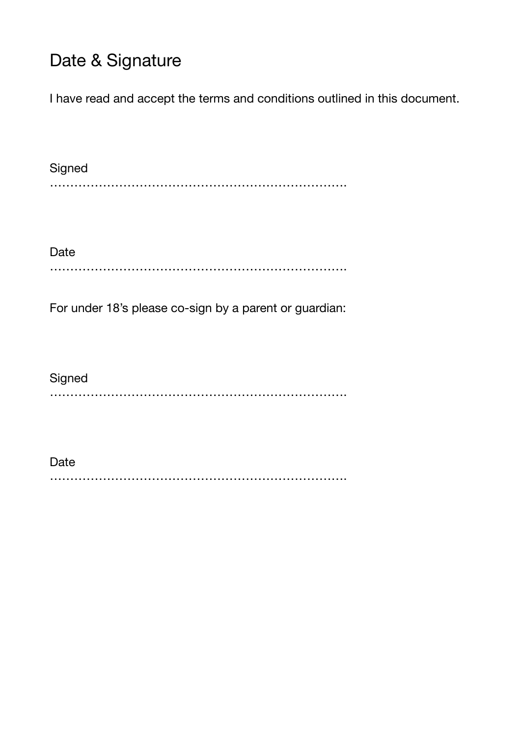# Date & Signature

I have read and accept the terms and conditions outlined in this document.

**Signed** ……………………………………………………………….

Date ……………………………………………………………….

For under 18's please co-sign by a parent or guardian:

**Signed** ……………………………………………………………….

Date ……………………………………………………………….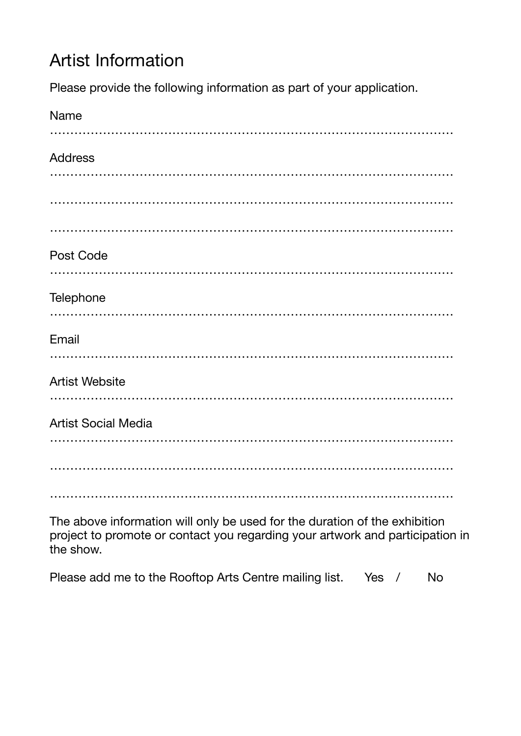# Artist Information

Please provide the following information as part of your application.

| Name                       |
|----------------------------|
|                            |
| <b>Address</b>             |
|                            |
|                            |
|                            |
| Post Code                  |
|                            |
| Telephone                  |
|                            |
| Email                      |
|                            |
| <b>Artist Website</b>      |
|                            |
| <b>Artist Social Media</b> |
|                            |
|                            |
|                            |

The above information will only be used for the duration of the exhibition project to promote or contact you regarding your artwork and participation in the show.

|  |  |  |  |  | Please add me to the Rooftop Arts Centre mailing list. |  | Yes / |  | - No |
|--|--|--|--|--|--------------------------------------------------------|--|-------|--|------|
|--|--|--|--|--|--------------------------------------------------------|--|-------|--|------|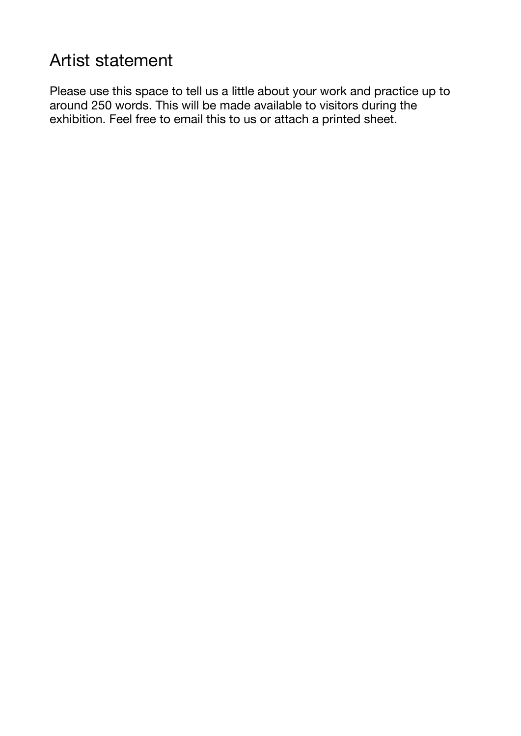# Artist statement

Please use this space to tell us a little about your work and practice up to around 250 words. This will be made available to visitors during the exhibition. Feel free to email this to us or attach a printed sheet.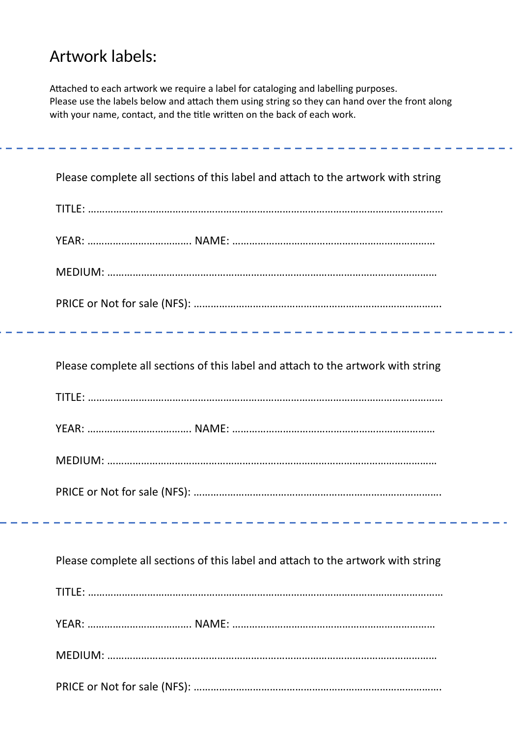# Artwork labels:

Attached to each artwork we require a label for cataloging and labelling purposes. Please use the labels below and attach them using string so they can hand over the front along with your name, contact, and the title written on the back of each work.

| Please complete all sections of this label and attach to the artwork with string |
|----------------------------------------------------------------------------------|
|                                                                                  |
|                                                                                  |
|                                                                                  |
|                                                                                  |
|                                                                                  |
| Please complete all sections of this label and attach to the artwork with string |
|                                                                                  |
|                                                                                  |
|                                                                                  |
|                                                                                  |
|                                                                                  |
| Please complete all sections of this label and attach to the artwork with string |
|                                                                                  |
|                                                                                  |
|                                                                                  |
|                                                                                  |
|                                                                                  |